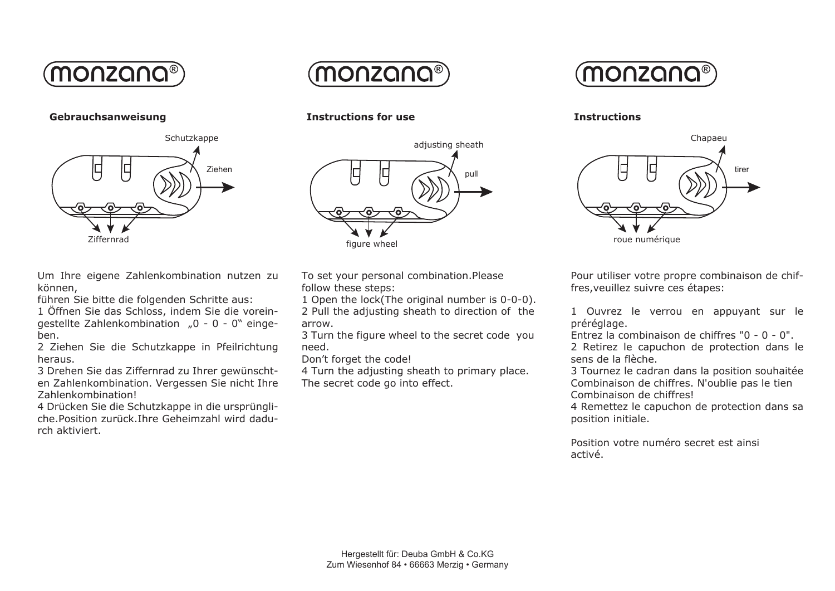

**Gebrauchsanweisung Instructions for use**



Um Ihre eigene Zahlenkombination nutzen zu können,

führen Sie bitte die folgenden Schritte aus:

1 Öffnen Sie das Schloss, indem Sie die voreingestellte Zahlenkombination "0 - 0 - 0" eingeben.

2 Ziehen Sie die Schutzkappe in Pfeilrichtung heraus.

3 Drehen Sie das Ziffernrad zu Ihrer gewünschten Zahlenkombination. Vergessen Sie nicht Ihre Zahlenkombination!

4 Drücken Sie die Schutzkappe in die ursprüngliche.Position zurück.Ihre Geheimzahl wird dadurch aktiviert.





To set your personal combination.Please follow these steps:

1 Open the lock(The original number is 0-0-0). 2 Pull the adjusting sheath to direction of the arrow.

3 Turn the figure wheel to the secret code you need.

Don't forget the code!

4 Turn the adjusting sheath to primary place. The secret code go into effect.



**Instructions**



Pour utiliser votre propre combinaison de chiffres,veuillez suivre ces étapes:

1 Ouvrez le verrou en appuyant sur le préréglage.

Entrez la combinaison de chiffres "0 - 0 - 0". 2 Retirez le capuchon de protection dans le sens de la flèche.

3 Tournez le cadran dans la position souhaitée Combinaison de chiffres. N'oublie pas le tien Combinaison de chiffres!

4 Remettez le capuchon de protection dans sa position initiale.

Position votre numéro secret est ainsi activé.